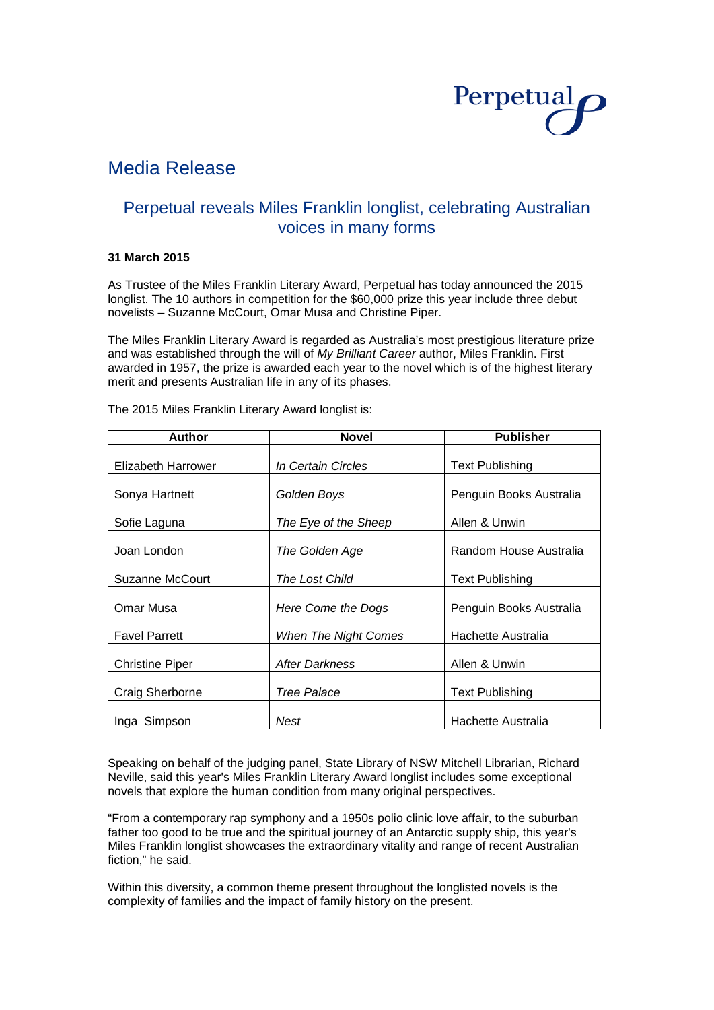

# Media Release

## Perpetual reveals Miles Franklin longlist, celebrating Australian voices in many forms

## **31 March 2015**

As Trustee of the Miles Franklin Literary Award, Perpetual has today announced the 2015 longlist. The 10 authors in competition for the \$60,000 prize this year include three debut novelists – Suzanne McCourt, Omar Musa and Christine Piper.

The Miles Franklin Literary Award is regarded as Australia's most prestigious literature prize and was established through the will of *My Brilliant Career* author, Miles Franklin. First awarded in 1957, the prize is awarded each year to the novel which is of the highest literary merit and presents Australian life in any of its phases.

| <b>Author</b>          | <b>Novel</b>                | <b>Publisher</b>        |  |
|------------------------|-----------------------------|-------------------------|--|
| Elizabeth Harrower     | In Certain Circles          | <b>Text Publishing</b>  |  |
| Sonya Hartnett         | Golden Boys                 | Penguin Books Australia |  |
| Sofie Laguna           | The Eye of the Sheep        | Allen & Unwin           |  |
| Joan London            | The Golden Age              | Random House Australia  |  |
| <b>Suzanne McCourt</b> | The Lost Child              | <b>Text Publishing</b>  |  |
| Omar Musa              | Here Come the Dogs          | Penguin Books Australia |  |
| <b>Favel Parrett</b>   | <b>When The Night Comes</b> | Hachette Australia      |  |
| <b>Christine Piper</b> | <b>After Darkness</b>       | Allen & Unwin           |  |
| Craig Sherborne        | <b>Tree Palace</b>          | <b>Text Publishing</b>  |  |
| Inga Simpson           | Nest                        | Hachette Australia      |  |

The 2015 Miles Franklin Literary Award longlist is:

Speaking on behalf of the judging panel, State Library of NSW Mitchell Librarian, Richard Neville, said this year's Miles Franklin Literary Award longlist includes some exceptional novels that explore the human condition from many original perspectives.

"From a contemporary rap symphony and a 1950s polio clinic love affair, to the suburban father too good to be true and the spiritual journey of an Antarctic supply ship, this year's Miles Franklin longlist showcases the extraordinary vitality and range of recent Australian fiction," he said.

Within this diversity, a common theme present throughout the longlisted novels is the complexity of families and the impact of family history on the present.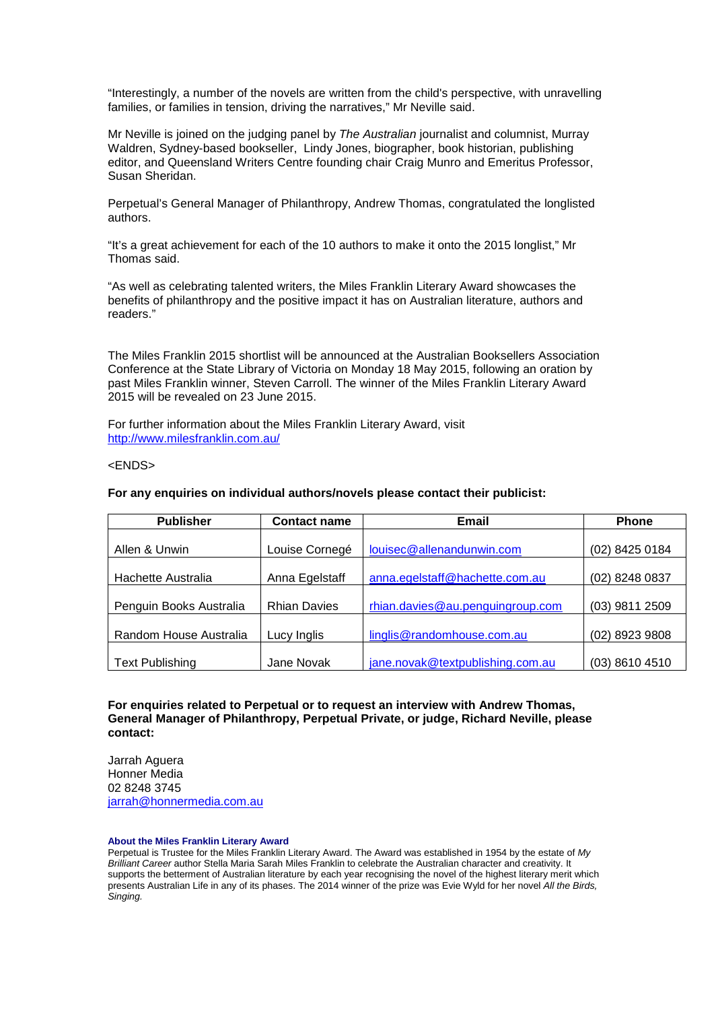"Interestingly, a number of the novels are written from the child's perspective, with unravelling families, or families in tension, driving the narratives," Mr Neville said.

Mr Neville is joined on the judging panel by *The Australian* journalist and columnist, Murray Waldren, Sydney-based bookseller, Lindy Jones, biographer, book historian, publishing editor, and Queensland Writers Centre founding chair Craig Munro and Emeritus Professor, Susan Sheridan.

Perpetual's General Manager of Philanthropy, Andrew Thomas, congratulated the longlisted authors.

"It's a great achievement for each of the 10 authors to make it onto the 2015 longlist," Mr Thomas said.

"As well as celebrating talented writers, the Miles Franklin Literary Award showcases the benefits of philanthropy and the positive impact it has on Australian literature, authors and readers."

The Miles Franklin 2015 shortlist will be announced at the Australian Booksellers Association Conference at the State Library of Victoria on Monday 18 May 2015, following an oration by past Miles Franklin winner, Steven Carroll. The winner of the Miles Franklin Literary Award 2015 will be revealed on 23 June 2015.

For further information about the Miles Franklin Literary Award, visit <http://www.milesfranklin.com.au/>

<ENDS>

#### **For any enquiries on individual authors/novels please contact their publicist:**

| <b>Publisher</b>        | <b>Contact name</b> | Email                            | <b>Phone</b>   |
|-------------------------|---------------------|----------------------------------|----------------|
|                         |                     |                                  |                |
| Allen & Unwin           | Louise Cornegé      | louisec@allenandunwin.com        | (02) 8425 0184 |
|                         |                     |                                  |                |
| Hachette Australia      | Anna Egelstaff      | anna.egelstaff@hachette.com.au   | (02) 8248 0837 |
|                         |                     |                                  |                |
| Penguin Books Australia | <b>Rhian Davies</b> | rhian.davies@au.penguingroup.com | (03) 9811 2509 |
|                         |                     |                                  |                |
| Random House Australia  | Lucy Inglis         | linglis@randomhouse.com.au       | (02) 8923 9808 |
|                         |                     |                                  |                |
| <b>Text Publishing</b>  | Jane Novak          | jane.novak@textpublishing.com.au | (03) 8610 4510 |

### **For enquiries related to Perpetual or to request an interview with Andrew Thomas, General Manager of Philanthropy, Perpetual Private, or judge, Richard Neville, please contact:**

Jarrah Aguera Honner Media 02 8248 3745 [jarrah@honnermedia.com.au](mailto:jarrah@honnermedia.com.au)

#### **About the Miles Franklin Literary Award**

Perpetual is Trustee for the Miles Franklin Literary Award. The Award was established in 1954 by the estate of *My Brilliant Career* author Stella Maria Sarah Miles Franklin to celebrate the Australian character and creativity. It supports the betterment of Australian literature by each year recognising the novel of the highest literary merit which presents Australian Life in any of its phases. The 2014 winner of the prize was Evie Wyld for her novel *All the Birds, Singing.*